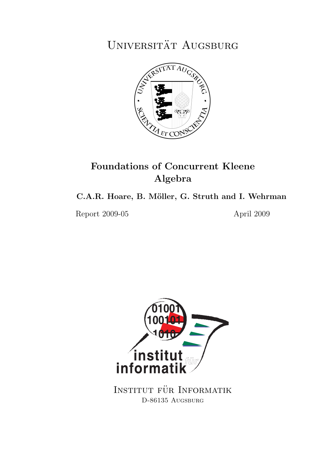UNIVERSITÄT AUGSBURG



# Foundations of Concurrent Kleene Algebra

C.A.R. Hoare, B. Möller, G. Struth and I. Wehrman

Report 2009-05 April 2009



INSTITUT FÜR INFORMATIK D-86135 Augsburg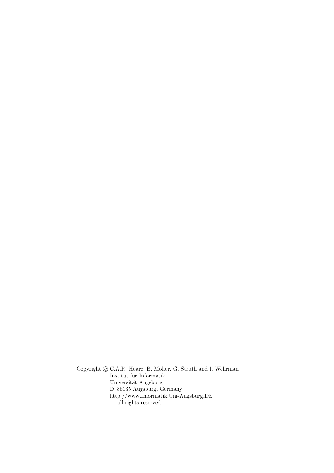Copyright  $\odot$  C.A.R. Hoare, B. Möller, G. Struth and I. Wehrman Institut für Informatik Universität Augsburg D–86135 Augsburg, Germany http://www.Informatik.Uni-Augsburg.DE  $-\overline{\text{ali}}$  rights reserved  $-$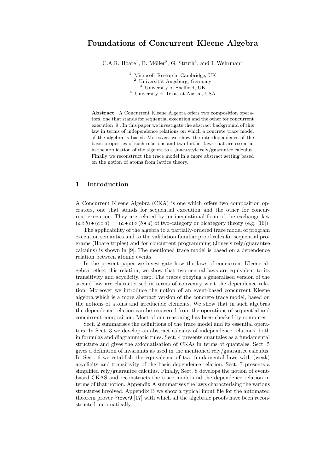## Foundations of Concurrent Kleene Algebra

C.A.R. Hoare<sup>1</sup>, B. Möller<sup>2</sup>, G. Struth<sup>3</sup>, and I. Wehrman<sup>4</sup>

<sup>1</sup> Microsoft Research, Cambridge, UK Universität Augsburg, Germany <sup>3</sup> University of Sheffield, UK <sup>4</sup> University of Texas at Austin, USA

Abstract. A Concurrent Kleene Algebra offers two composition operators, one that stands for sequential execution and the other for concurrent execution [9]. In this paper we investigate the abstract background of this law in terms of independence relations on which a concrete trace model of the algebra is based. Moreover, we show the interdependence of the basic properties of such relations and two further laws that are essential in the application of the algebra to a Jones style rely/guarantee calculus. Finally we reconstruct the trace model in a more abstract setting based on the notion of atoms from lattice theory.

## 1 Introduction

A Concurrent Kleene Algebra (CKA) is one which offers two composition operators, one that stands for sequential execution and the other for concurrent execution. They are related by an inequational form of the exchange law  $(a \circ b) \bullet (c \circ d) = (a \bullet c) \circ (b \bullet d)$  of two-category or bicategory theory (e.g. [16]).

The applicability of the algebra to a partially-ordered trace model of program execution semantics and to the validation familiar proof rules for sequential programs (Hoare triples) and for concurrent programming (Jones's rely/guarantee calculus) is shown in [9]. The mentioned trace model is based on a dependence relation between atomic events.

In the present paper we investigate how the laws of concurrent Kleene algebra reflect this relation; we show that two central laws are equivalent to its transitivity and acyclicity, resp. The traces obeying a generalised version of the second law are characterised in terms of convexity w.r.t the dependence relation. Moreover we introduce the notion of an event-based concurrent Kleene algebra which is a more abstract version of the concrete trace model, based on the notions of atoms and irreducible elements. We show that in such algebras the dependence relation can be recovered from the operations of sequential and concurrent composition. Most of our reasoning has been checked by computer.

Sect. 2 summarises the definitions of the trace model and its essential operators. In Sect. 3 we develop an abstract calculus of independence relations, both in formulas and diagrammatic rules. Sect. 4 presents quantales as a fundamental structure and gives the axiomatisation of CKAs in terms of quantales. Sect. 5 gives a definition of invariants as used in the mentioned rely/guarantee calculus. In Sect. 6 we establish the equivalence of two fundamental laws with (weak) acyclicity and transitivity of the basic dependence relation. Sect. 7 presents a simplified rely/guarantee calculus. Finally, Sect. 8 develops the notion of eventbased CKAS and reconstructs the trace model and the dependence relation in terms of that notion. Appendix A summarises the laws characterising the various structures involved. Appendix B we show a typical input file for the automated theorem prover Prover9 [17] with which all the algebraic proofs have been reconstructed automatically.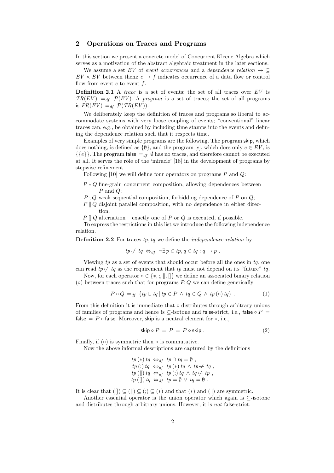## 2 Operations on Traces and Programs

In this section we present a concrete model of Concurrent Kleene Algebra which serves as a motivation of the abstract algebraic treatment in the later sections.

We assume a set EV of event occurrences and a dependence relation  $\rightarrow \subseteq$  $EV \times EV$  between them:  $e \rightarrow f$  indicates occurrence of a data flow or control flow from event  $e$  to event  $f$ .

**Definition 2.1** A trace is a set of events; the set of all traces over  $EV$  is  $TR(EV) =_{df} \mathcal{P}(EV)$ . A program is a set of traces; the set of all programs is  $PR(EV) =_{df} P(TR(EV)).$ 

We deliberately keep the definition of traces and programs so liberal to accommodate systems with very loose coupling of events; "conventional" linear traces can, e.g., be obtained by including time stamps into the events and defining the dependence relation such that it respects time.

Examples of very simple programs are the following. The program skip, which does nothing, is defined as  $\{\emptyset\}$ , and the program [e], which does only  $e \in EV$ , is  $\{\{e\}\}\.$  The program false  $=_{df} \emptyset$  has no traces, and therefore cannot be executed at all. It serves the rôle of the 'miracle' [18] in the development of programs by stepwise refinement.

Following  $[10]$  we will define four operators on programs  $P$  and  $Q$ :

- $P * Q$  fine-grain concurrent composition, allowing dependences between  $P$  and  $Q$ ;
- $P$ ; Q weak sequential composition, forbidding dependence of P on Q;
- $P \| Q$  disjoint parallel composition, with no dependence in either direction;

 $P \parallel Q$  alternation – exactly one of P or Q is executed, if possible.

To express the restrictions in this list we introduce the following independence relation.

**Definition 2.2** For traces  $tp$ ,  $tq$  we define the *independence relation* by

$$
tp \nightharpoonup tq \Leftrightarrow_{df} \neg \exists p \in tp, q \in tq : q \rightarrow p .
$$

Viewing  $tp$  as a set of events that should occur before all the ones in  $tq$ , one can read  $tp \nightharpoonup tq$  as the requirement that tp must not depend on its "future" tq.

Now, for each operator  $\circ \in \{*, : , \|, \| \}$  we define an associated binary relation  $\phi$ ) between traces such that for programs  $P, Q$  we can define generically

$$
P \circ Q =_{df} \{tp \cup tq \mid tp \in P \land tq \in Q \land tp \circ) tq \} . \tag{1}
$$

From this definition it is immediate that ◦ distributes through arbitrary unions of families of programs and hence is ⊂-isotone and false-strict, i.e., false  $\circ P =$ false = P ∘ false. Moreover, skip is a neutral element for ∘, i.e.,

$$
\mathsf{skip} \circ P = P = P \circ \mathsf{skip} \,. \tag{2}
$$

Finally, if  $(\circ)$  is symmetric then  $\circ$  is commutative.

Now the above informal descriptions are captured by the definitions

$$
tp (*) tq \Leftrightarrow_{df} tp \cap tq = \emptyset ,\ntp (;) tq \Leftrightarrow_{df} tp (*) tq \wedge tp \nleftrightarrow tq ,\ntp (||) tq \Leftrightarrow_{df} tp (;) tq \wedge tq \nleftrightarrow tp ,\ntp (||) tq \Leftrightarrow_{df} tp = \emptyset \vee tq = \emptyset .
$$

It is clear that  $(||) \subseteq (||) \subseteq (x) \subseteq (*)$  and that  $(*)$  and  $(||)$  are symmetric.

Another essential operator is the union operator which again is ⊆-isotone and distributes through arbitrary unions. However, it is not false-strict.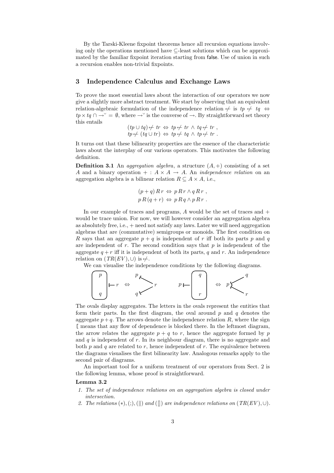By the Tarski-Kleene fixpoint theorems hence all recursion equations involving only the operations mentioned have ⊆-least solutions which can be approximated by the familiar fixpoint iteration starting from false. Use of union in such a recursion enables non-trivial fixpoints.

#### 3 Independence Calculus and Exchange Laws

To prove the most essential laws about the interaction of our operators we now give a slightly more abstract treatment. We start by observing that an equivalent relation-algebraic formulation of the independence relation  $\neq$  is  $tp \neq tq \Leftrightarrow$  $tp \times tq \cap \rightarrow^{\sim} = \emptyset$ , where  $\rightarrow^{\sim}$  is the converse of  $\rightarrow$ . By straightforward set theory this entails

$$
(tp \cup tq) \neq tr \Leftrightarrow tp \neq tr \wedge tq \neq tr ,\ntp \neq (tq \cup tr) \Leftrightarrow tp \neq tq \wedge tp \neq tr .
$$

It turns out that these bilinearity properties are the essence of the characteristic laws about the interplay of our various operators. This motivates the following definition.

**Definition 3.1** An *aggregation algebra*, a structure  $(A,+)$  consisting of a set A and a binary operation  $+: A \times A \rightarrow A$ . An *independence relation* on an aggregation algebra is a bilinear relation  $R \subseteq A \times A$ , i.e.,

$$
(p+q) R r \Leftrightarrow p R r \wedge q R r ,
$$
  

$$
p R (q+r) \Leftrightarrow p R q \wedge p R r .
$$

In our example of traces and programs,  $A$  would be the set of traces and  $+$ would be trace union. For now, we will however consider an aggregation algebra as absolutely free, i.e., + need not satisfy any laws. Later we will need aggregation algebras that are (commutative) semigroups or monoids. The first condition on R says that an aggregate  $p + q$  is independent of r iff both its parts p and q are independent of  $r$ . The second condition says that  $p$  is independent of the aggregate  $q + r$  iff it is independent of both its parts, q and r. An independence relation on  $(TR(EV), \cup)$  is  $\neq$ .

We can visualise the independence conditions by the following diagrams.



The ovals display aggregates. The letters in the ovals represent the entities that form their parts. In the first diagram, the oval around  $p$  and  $q$  denotes the aggregate  $p + q$ . The arrows denote the independence relation R, where the sign [ means that any flow of dependence is blocked there. In the leftmost diagram, the arrow relates the aggregate  $p + q$  to r, hence the aggregate formed by p and  $q$  is independent of  $r$ . In its neighbour diagram, there is no aggregate and both  $p$  and  $q$  are related to  $r$ , hence independent of  $r$ . The equivalence between the diagrams visualises the first bilinearity law. Analogous remarks apply to the second pair of diagrams.

An important tool for a uniform treatment of our operators from Sect. 2 is the following lemma, whose proof is straightforward.

#### Lemma 3.2

- 1. The set of independence relations on an aggregation algebra is closed under intersection.
- 2. The relations  $(*), (;), (||)$  and  $(||)$  are independence relations on  $(TR(EV), \cup)$ .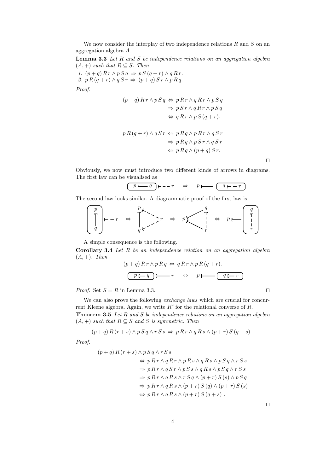We now consider the interplay of two independence relations  $R$  and  $S$  on an aggregation algebra A.

**Lemma 3.3** Let  $R$  and  $S$  be independence relations on an aggregation algebra  $(A, +)$  such that  $R \subseteq S$ . Then

1.  $(p+q) R r \wedge p S q \Rightarrow p S (q+r) \wedge q R r$ . 2.  $p R (q + r) \wedge q S r \Rightarrow (p + q) S r \wedge p R q$ .

Proof.

$$
(p+q) R r \wedge pSq \Leftrightarrow p R r \wedge q R r \wedge pSq
$$
  
\n
$$
\Rightarrow p S r \wedge q R r \wedge p Sq
$$
  
\n
$$
\Leftrightarrow q R r \wedge p S (q+r).
$$
  
\n
$$
p R (q+r) \wedge q S r \Leftrightarrow p R q \wedge p R r \wedge q S r
$$
  
\n
$$
\Rightarrow p R q \wedge p S r \wedge q S r
$$
  
\n
$$
\Leftrightarrow p R q \wedge (p+q) S r.
$$

Obviously, we now must introduce two different kinds of arrows in diagrams. The first law can be visualised as

$$
\boxed{p \longleftarrow q} \longmapsto p \longmapsto \boxed{q \longmapsto}
$$

The second law looks similar. A diagrammatic proof of the first law is

$$
\begin{array}{c}\nP \\
\downarrow \\
q\n\end{array}\n\Bigg|_{r-r} \Leftrightarrow \int_{q+r}^{p} \sim \sum r \Rightarrow p \sim \left(\begin{array}{c}\nq \\
\uparrow \\
\downarrow \\
r\n\end{array}\right) \Leftrightarrow p \leftarrow \left(\begin{array}{c}\nq \\
\uparrow \\
\downarrow \\
r\n\end{array}\right)
$$

A simple consequence is the following.

Corollary 3.4 Let R be an independence relation on an aggregation algebra  $(A, +)$ . Then

$$
(p+q) R r \wedge p R q \Leftrightarrow q R r \wedge p R (q+r).
$$
  

$$
\boxed{p \longmapsto q} \longmapsto r \Leftrightarrow p \longmapsto \boxed{q \longmapsto}
$$

*Proof.* Set  $S = R$  in Lemma 3.3. □

We can also prove the following *exchange laws* which are crucial for concurrent Kleene algebra. Again, we write  $R<sup>o</sup>$  for the relational converse of R.

**Theorem 3.5** Let  $R$  and  $S$  be independence relations on an aggregation algebra  $(A, +)$  such that  $R \subseteq S$  and S is symmetric. Then

$$
(p+q) R (r+s) \wedge p S q \wedge r S s \Rightarrow p R r \wedge q R s \wedge (p+r) S (q+s) .
$$

Proof.

$$
(p+q) R (r+s) \wedge p S q \wedge r S s
$$
  
\n
$$
\Leftrightarrow p R r \wedge q R r \wedge p R s \wedge q R s \wedge p S q \wedge r S s
$$
  
\n
$$
\Rightarrow p R r \wedge q S r \wedge p S s \wedge q R s \wedge p S q \wedge r S s
$$
  
\n
$$
\Rightarrow p R r \wedge q R s \wedge r S q \wedge (p+r) S (s) \wedge p S q
$$
  
\n
$$
\Rightarrow p R r \wedge q R s \wedge (p+r) S (q) \wedge (p+r) S (s)
$$
  
\n
$$
\Leftrightarrow p R r \wedge q R s \wedge (p+r) S (q+s) .
$$

⊓⊔

⊓⊔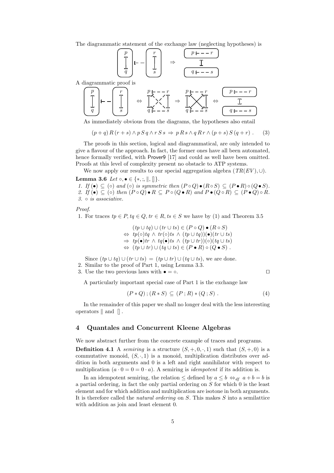The diagrammatic statement of the exchange law (neglecting hypotheses) is

$$
\begin{array}{c}\nP \\
\downarrow \\
q\n\end{array}\n\bigg| \leftarrow\n\begin{array}{c}\nP \\
\downarrow \\
s\n\end{array}\n\bigg| \rightarrow\n\begin{array}{c}\nP + -r \\
\downarrow \\
q + -s\n\end{array}
$$

A diagrammatic proof is

$$
\begin{bmatrix} p \\ \begin{bmatrix} r \\ q \end{bmatrix} \vdash -\begin{bmatrix} r \\ \begin{bmatrix} r \\ \end{bmatrix} & \Leftrightarrow & \begin{bmatrix} p & \vdash -r \\ \begin{bmatrix} r & \vdash \\ r & \end{bmatrix} \\ s & q & \end{bmatrix} \Rightarrow & \begin{bmatrix} p & \vdash -r \\ \begin{bmatrix} r & \vdash \\ r & \end{bmatrix} \\ q & \vdash -r & s \end{bmatrix} & \Leftrightarrow & \begin{bmatrix} p & \vdash -r \\ \begin{bmatrix} r & \vdash \\ r & \end{bmatrix} \\ q & \doteq & \begin{bmatrix} r & \vdash -r \\ \end{bmatrix} \end{bmatrix}
$$

As immediately obvious from the diagrams, the hypotheses also entail

$$
(p+q) R (r+s) \wedge p S q \wedge r S s \Rightarrow p R s \wedge q R r \wedge (p+s) S (q+r).
$$
 (3)

The proofs in this section, logical and diagrammatical, are only intended to give a flavour of the approach. In fact, the former ones have all been automated, hence formally verified, with Prover [17] and could as well have been omitted. Proofs at this level of complexity present no obstacle to ATP systems.

We now apply our results to our special aggregation algebra  $(TR(EV), \cup)$ .

#### Lemma 3.6  $Let \circ, \bullet \in \{*, ;, \|, \| \}.$

1. If  $(\bullet) \subseteq (\circ)$  and  $(\circ)$  is symmetric then  $(P \circ Q) \bullet (R \circ S) \subseteq (P \bullet R) \circ (Q \bullet S)$ . 2. If  $(\bullet) \subseteq (\circ)$  then  $(P \circ Q) \bullet R \subseteq P \circ (Q \bullet R)$  and  $P \bullet (Q \circ R) \subseteq (P \bullet Q) \circ R$ . 3.  $\circ$  is associative.

Proof.

1. For traces  $tp \in P$ ,  $tq \in Q$ ,  $tr \in R$ ,  $ts \in S$  we have by (1) and Theorem 3.5

 $(tp \cup tq) \cup (tr \cup ts) \in (P \circ Q) \bullet (R \circ S)$  $\Leftrightarrow tp(\circ) \nmid q \wedge tr(\circ) \nmid ts \wedge (tp \cup tq))(\bullet) (\nmid tr \cup ts)$  $\Rightarrow tp(\bullet)tr \wedge tq(\bullet)ts \wedge (tp \cup tr))(\circ)(tq \cup ts)$  $\Leftrightarrow$   $(tp \cup tr) \cup (tq \cup ts) \in (P \bullet R) \circ (Q \bullet S)$ .

Since  $(tp \cup tq) \cup (tr \cup ts) = (tp \cup tr) \cup (tq \cup ts)$ , we are done.

2. Similar to the proof of Part 1, using Lemma 3.3. 3. Use the two previous laws with  $\bullet = \circ$ . □

A particularly important special case of Part 1 is the exchange law

$$
(P * Q) ; (R * S) \subseteq (P : R) * (Q : S) . \tag{4}
$$

In the remainder of this paper we shall no longer deal with the less interesting operators  $\parallel$  and  $\parallel$ .

## 4 Quantales and Concurrent Kleene Algebras

We now abstract further from the concrete example of traces and programs.

**Definition 4.1** A semiring is a structure  $(S, +, 0, \cdot, 1)$  such that  $(S, +, 0)$  is a commutative monoid,  $(S, \cdot, 1)$  is a monoid, multiplication distributes over addition in both arguments and 0 is a left and right annihilator with respect to multiplication  $(a \cdot 0 = 0 = 0 \cdot a)$ . A semiring is *idempotent* if its addition is.

In an idempotent semiring, the relation  $\leq$  defined by  $a \leq b \Leftrightarrow_{df} a + b = b$  is a partial ordering, in fact the only partial ordering on S for which 0 is the least element and for which addition and multiplication are isotone in both arguments. It is therefore called the *natural ordering* on  $S$ . This makes  $S$  into a semilattice with addition as join and least element 0.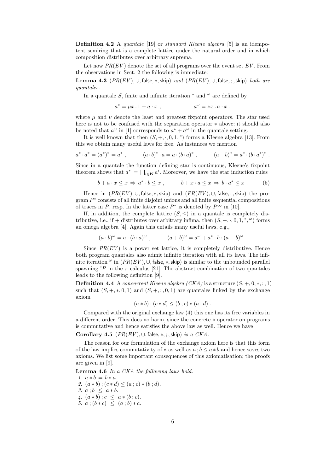**Definition 4.2** A quantale [19] or standard Kleene algebra [5] is an idempotent semiring that is a complete lattice under the natural order and in which composition distributes over arbitrary suprema.

Let now  $PR(EV)$  denote the set of all programs over the event set  $EV$ . From the observations in Sect. 2 the following is immediate:

Lemma 4.3  $(PR(EV), \cup, false, *, skip)$  and  $(PR(EV), \cup, false, ; skip)$  both are quantales.

In a quantale S, finite and infinite iteration  $*$  and  $\omega$  are defined by

$$
a^* = \mu x \cdot 1 + a \cdot x \;, \qquad a^{\omega} = \nu x \cdot a \cdot x \;,
$$

where  $\mu$  and  $\nu$  denote the least and greatest fixpoint operators. The star used here is not to be confused with the separation operator ∗ above; it should also be noted that  $a^{\omega}$  in [1] corresponds to  $a^* + a^{\omega}$  in the quantale setting.

It is well known that then  $(S, +, \cdot, 0, 1, *)$  forms a Kleene algebra [13]. From this we obtain many useful laws for free. As instances we mention

$$
a^* \cdot a^* = (a^*)^* = a^*
$$
,  $(a \cdot b)^* \cdot a = a \cdot (b \cdot a)^*$ ,  $(a+b)^* = a^* \cdot (b \cdot a^*)^*$ .

Since in a quantale the function defining star is continuous, Kleene's fixpoint theorem shows that  $a^* = \bigsqcup_{i \in \mathbb{N}} a^i$ . Moreover, we have the star induction rules

$$
b + a \cdot x \le x \implies a^* \cdot b \le x , \qquad b + x \cdot a \le x \implies b \cdot a^* \le x . \tag{5}
$$

Hence in  $(PR(EV), \cup, \text{false}, \ast, \text{skip})$  and  $(PR(EV), \cup, \text{false}, \ddots, \text{skip})$  the program  $P^*$  consists of all finite disjoint unions and all finite sequential compositions of traces in P, resp. In the latter case  $P^*$  is denoted by  $P^{\infty}$  in [10].

If, in addition, the complete lattice  $(S, \leq)$  in a quantale is completely distributive, i.e., if + distributes over arbitrary infima, then  $(S, +, \cdot, 0, 1, *, \omega)$  forms an omega algebra [4]. Again this entails many useful laws, e.g.,

$$
(a \cdot b)^{\omega} = a \cdot (b \cdot a)^{\omega} , \qquad (a+b)^{\omega} = a^{\omega} + a^* \cdot b \cdot (a+b)^{\omega} .
$$

Since  $PR(EV)$  is a power set lattice, it is completely distributive. Hence both program quantales also admit infinite iteration with all its laws. The infinite iteration  $\omega$  in  $(PR(EV), \cup, \text{false}, \ast, \text{skip})$  is similar to the unbounded parallel spawning  $P$  in the  $\pi$ -calculus [21]. The abstract combination of two quantales leads to the following definition [9].

**Definition 4.4** A concurrent Kleene algebra  $CKA$  is a structure  $(S, +, 0, *, :, 1)$ such that  $(S, +, *, 0, 1)$  and  $(S, +, ; 0, 1)$  are quantales linked by the exchange axiom

$$
(a * b) ; (c * d) \leq (b ; c) * (a ; d) .
$$

Compared with the original exchange law (4) this one has its free variables in a different order. This does no harm, since the concrete ∗ operator on programs is commutative and hence satisfies the above law as well. Hence we have

Corollary 4.5  $(PR(EV), \cup, \text{false}, *, ; , \text{skip})$  is a CKA.

The reason for our formulation of the exchange axiom here is that this form of the law implies commutativity of  $*$  as well as  $a$ ;  $b \le a * b$  and hence saves two axioms. We list some important consequences of this axiomatisation; the proofs are given in [9].

Lemma 4.6 In a CKA the following laws hold.

- 1.  $a * b = b * a$ .
- 2.  $(a * b)$ ;  $(c * d) \leq (a : c) * (b : d)$ .
- 3.  $a : b < a * b$ .
- 4.  $(a * b)$ ;  $c \leq a * (b; c)$ .
- 5.  $a:(b*c) < (a:b)*c$ .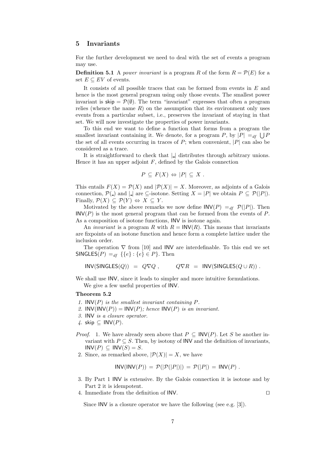## 5 Invariants

For the further development we need to deal with the set of events a program may use.

**Definition 5.1** A power invariant is a program R of the form  $R = \mathcal{P}(E)$  for a set  $E \subseteq EV$  of events.

It consists of all possible traces that can be formed from events in E and hence is the most general program using only those events. The smallest power invariant is skip =  $\mathcal{P}(\emptyset)$ . The term "invariant" expresses that often a program relies (whence the name  $R$ ) on the assumption that its environment only uses events from a particular subset, i.e., preserves the invariant of staying in that set. We will now investigate the properties of power invariants.

To this end we want to define a function that forms from a program the smallest invariant containing it. We denote, for a program P, by  $|P| =_{df} \bigcup P$ the set of all events occurring in traces of  $P$ ; when convenient,  $|P|$  can also be considered as a trace.

It is straightforward to check that  $\lfloor \cdot \rfloor$  distributes through arbitrary unions. Hence it has an upper adjoint  $F$ , defined by the Galois connection

$$
P \subseteq F(X) \Leftrightarrow |P| \subseteq X .
$$

This entails  $F(X) = \mathcal{P}(X)$  and  $|\mathcal{P}(X)| = X$ . Moreover, as adjoints of a Galois connection,  $\mathcal{P}(\square)$  and  $|\square|$  are  $\subseteq$ -isotone. Setting  $X = |P|$  we obtain  $P \subseteq \mathcal{P}(|P|)$ . Finally,  $\mathcal{P}(X) \subseteq \mathcal{P}(Y) \Leftrightarrow X \subseteq Y$ .

Motivated by the above remarks we now define  $\mathsf{INV}(P) =_{df} \mathcal{P}(|P|)$ . Then  $\text{INV}(P)$  is the most general program that can be formed from the events of P. As a composition of isotone functions, INV is isotone again.

An *invariant* is a program R with  $R = \text{INV}(R)$ . This means that invariants are fixpoints of an isotone function and hence form a complete lattice under the inclusion order.

The operation  $\nabla$  from [10] and INV are interdefinable. To this end we set SINGLES(P) =  $_{df}$  {{ $e$ } : { $e$ }  $\in$  P}. Then

$$
INV(SINGLES(Q)) = Q \nabla Q, \qquad Q \nabla R = INV(SINGLES(Q \cup R)).
$$

We shall use INV, since it leads to simpler and more intuitive formulations. We give a few useful properties of INV.

#### Theorem 5.2

- 1.  $INV(P)$  is the smallest invariant containing  $P$ .
- 2. INV(INV(P)) = INV(P); hence INV(P) is an invariant.
- 3. INV is a closure operator.
- 4. skip ⊆ INV $(P)$ .
- *Proof.* 1. We have already seen above that  $P \subseteq \mathsf{INV}(P)$ . Let S be another invariant with  $P \subseteq S$ . Then, by isotony of INV and the definition of invariants,  $INV(P) \subseteq INV(S) = S.$
- 2. Since, as remarked above,  $|\mathcal{P}(X)| = X$ , we have

$$
INV(INV(P)) = P(|P(|P|)|) = P(|P|) = INV(P).
$$

- 3. By Part 1 INV is extensive. By the Galois connection it is isotone and by Part 2 it is idempotent.
- 4. Immediate from the definition of INV. ⊓⊔

Since INV is a closure operator we have the following (see e.g. [3]).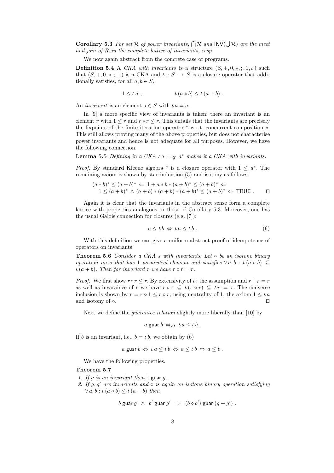**Corollary 5.3** For set R of power invariants,  $\bigcap \mathcal{R}$  and  $INV(\bigcup \mathcal{R})$  are the meet and join of  $R$  in the complete lattice of invariants, resp.

We now again abstract from the concrete case of programs.

**Definition 5.4** A CKA with invariants is a structure  $(S, +, 0, *, \ldots, 1, \iota)$  such that  $(S, +, 0, *, ; , 1)$  is a CKA and  $\iota : S \to S$  is a closure operator that additionally satisfies, for all  $a, b \in S$ ,

$$
1 \leq \iota a , \qquad \qquad \iota (a * b) \leq \iota (a + b) .
$$

An *invariant* is an element  $a \in S$  with  $t a = a$ .

In [9] a more specific view of invariants is taken: there an invariant is an element r with  $1 \leq r$  and  $r * r \leq r$ . This entails that the invariants are precisely the fixpoints of the finite iteration operator <sup>∗</sup> w.r.t. concurrent composition ∗. This still allows proving many of the above properties, but does not characterise power invariants and hence is not adequate for all purposes. However, we have the following connection.

**Lemma 5.5** Defining in a CKA  $\iota a =_{df} a^*$  makes it a CKA with invariants.

*Proof.* By standard Kleene algebra \* is a closure operator with  $1 \leq a^*$ . The remaining axiom is shown by star induction (5) and isotony as follows:

$$
(a * b)^* \le (a + b)^* \Leftarrow 1 + a * b * (a + b)^* \le (a + b)^* \Leftarrow
$$
  
1 \le (a + b)^\* \land (a + b) \* (a + b) \* (a + b)^\* \le (a + b)^\* \Leftrightarrow \text{TRUE} . \square

Again it is clear that the invariants in the abstract sense form a complete lattice with properties analogous to those of Corollary 5.3. Moreover, one has the usual Galois connection for closures (e.g. [7]):

$$
a \leq \iota b \Leftrightarrow \iota a \leq \iota b . \tag{6}
$$

With this definition we can give a uniform abstract proof of idempotence of operators on invariants.

**Theorem 5.6** Consider a CKA s with invariants. Let  $\circ$  be an isotone binary operation on s that has 1 as neutral element and satisfies  $\forall a, b : \iota (a \circ b) \subseteq$  $\iota(a + b)$ . Then for invariant r we have  $r \circ r = r$ .

*Proof.* We first show  $r \circ r \leq r$ . By extensivity of  $\iota$ , the assumption and  $r+r=r$ as well as invaraince of r we have  $r \circ r \subseteq \iota(r \circ r) \subseteq \iota r = r$ . The converse inclusion is shown by  $r = r \circ 1 \leq r \circ r$ , using neutrality of 1, the axiom  $1 \leq \iota a$ and isotony of ◦. □

Next we define the guarantee relation slightly more liberally than [10] by

$$
a
$$
guar  $b \Leftrightarrow_{df} \iota a \leq \iota b$ .

If b is an invariant, i.e.,  $b = \iota b$ , we obtain by (6)

$$
a \text{ guar } b \Leftrightarrow \iota a \le \iota b \Leftrightarrow a \le \iota b \Leftrightarrow a \le b
$$
.

We have the following properties.

#### Theorem 5.7

- 1. If  $g$  is an invariant then  $1$  guar  $g$ .
- 2. If g, g' are invariants and  $\circ$  is again an isotone binary operation satisfying  $\forall a, b : \iota(a \circ b) \leq \iota(a+b)$  then

$$
b
$$
guar  $g \wedge b'$ guar  $g' \Rightarrow (b \circ b')$ guar  $(g + g')$ .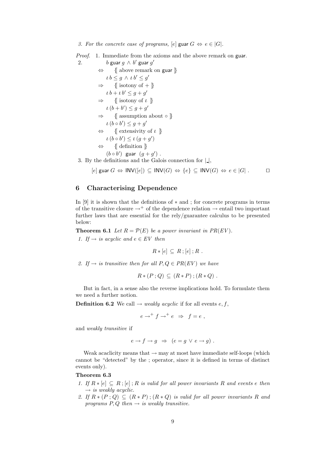3. For the concrete case of programs,  $[e]$  guar  $G \Leftrightarrow e \in |G|$ .

*Proof.* 1. Immediately, the axioms and the above remark on guar. 2. *b* guar *g* ∧ *b'* guar *g'* 
$$
\Leftrightarrow
$$
 {above remark on guar } *b* ≤ *g* ∧ *u b'* ≤ *g'*  $\Leftrightarrow$  {isotony of + } *b* + *u b'* ≤ *g* + *g'*  $\Rightarrow$  {isotony of *u* } *b*  $\Leftrightarrow$  {isotony of *u* }  $\Leftrightarrow$  {isotony of *u* }  $\Leftrightarrow$  {assumption about  $\circ$  } *b*  $\Leftrightarrow$  {assumption about  $\circ$  } *b*  $\Leftrightarrow$  {extensity of *u* }  $\Leftrightarrow$  {extensity of *u* }  $\Leftrightarrow$  {definition } *b b' b' c' d' d'*  $\Leftrightarrow$  {definition } *b b' c' d' d' e' f' f' f' f' f' f' f' f' f' f' f' f' f' f' f' f' f' f' f' f' f' f' f' f' f' f' f' f' f' f' f' f' f' f' f' f' f' f' f' f' f' f' f' f' f' f' f' f' f'*

3. By the definitions and the Galois connection for | |,

$$
[e] \text{ guar } G \Leftrightarrow \text{INV}([e]) \subseteq \text{INV}(G) \Leftrightarrow \{e\} \subseteq \text{INV}(G) \Leftrightarrow e \in |G| \ . \Box
$$

## 6 Characterising Dependence

In [9] it is shown that the definitions of ∗ and ; for concrete programs in terms of the transitive closure  $\rightarrow$ <sup>+</sup> of the dependence relation  $\rightarrow$  entail two important further laws that are essential for the rely/guarantee calculus to be presented below:

**Theorem 6.1** Let  $R = \mathcal{P}(E)$  be a power invariant in  $PR(EV)$ . 1. If  $\rightarrow$  is acyclic and  $e \in EV$  then

 $R*[e] \subseteq R; [e]; R$ .

2. If  $\rightarrow$  is transitive then for all  $P, Q \in PR(EV)$  we have

$$
R * (P; Q) \subseteq (R * P); (R * Q).
$$

But in fact, in a sense also the reverse implications hold. To formulate them we need a further notion.

**Definition 6.2** We call  $\rightarrow$  *weakly acyclic* if for all events  $e, f$ ,

$$
e \to^+ f \to^+ e \;\; \Rightarrow \;\; f = e \;,
$$

and weakly transitive if

$$
e \to f \to g \Rightarrow (e = g \lor e \to g).
$$

Weak acaclicity means that  $\rightarrow$  may at most have immediate self-loops (which cannot be "detected" by the ; operator, since it is defined in terms of distinct events only).

#### Theorem 6.3

- 1. If  $R * [e] \subseteq R$ ;  $[e]$ ; R is valid for all power invariants R and events e then  $\rightarrow$  is weakly acyclic.
- 2. If  $R * (P : Q) \subseteq (R * P)$ ;  $(R * Q)$  is valid for all power invariants R and programs  $P, Q$  then  $\rightarrow$  is weakly transitive.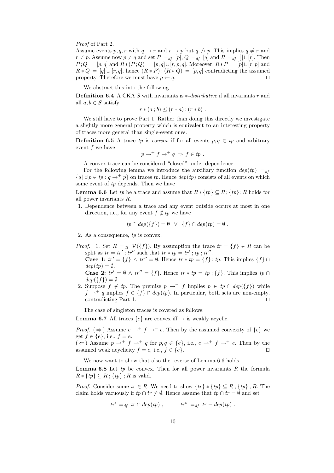Proof of Part 2.

Assume events p, q, r with  $q \to r$  and  $r \to p$  but  $q \neq p$ . This implies  $q \neq r$  and  $r \neq p$ . Assume now  $p \neq q$  and set  $P =_{df} [p], Q =_{df} [q]$  and  $R =_{df} [] \cup [r]$ . Then  $P$ ;  $Q = [p, q]$  and  $R*(P; Q) = [p, q] \cup [r, p, q]$ . Moreover,  $R*P = [p] \cup [r, p]$  and  $R * Q = [q] \cup [r, q]$ , hence  $(R * P)$ ;  $(R * Q) = [p, q]$  contradicting the assumed property. Therefore we must have  $p \leftarrow q$ . □

We abstract this into the following

**Definition 6.4** A CKA S with invariants is  $\ast$ -distributive if all invariants r and all  $a, b \in S$  satisfy

 $r * (a ; b) \leq (r * a) ; (r * b)$ .

We still have to prove Part 1. Rather than doing this directly we investigate a slightly more general property which is equivalent to an interesting property of traces more general than single-event ones.

**Definition 6.5** A trace tp is convex if for all events  $p, q \in tp$  and arbitrary event f we have

$$
p \to^+ f \to^+ q \Rightarrow f \in tp .
$$

A convex trace can be considered "closed" under dependence.

For the following lemma we introduce the auxiliary function  $dep(tp) =_{df}$  ${q \mid \exists p \in tp : q \to^+ p}$  on traces tp. Hence  $dep(tp)$  consists of all events on which some event of tp depends. Then we have

**Lemma 6.6** Let tp be a trace and assume that  $R * \{tp\} \subseteq R$ ;  $\{tp\}$ ; R holds for all power invariants R.

1. Dependence between a trace and any event outside occurs at most in one direction, i.e., for any event  $f \notin tp$  we have

$$
tp \cap dep(\lbrace f \rbrace) = \emptyset \ \lor \ \lbrace f \rbrace \cap dep(tp) = \emptyset.
$$

2. As a consequence, tp is convex.

*Proof.* 1. Set  $R =_{df} \mathcal{P}(\{f\})$ . By assumption the trace  $tr = \{f\} \in R$  can be split as  $tr = tr'$ ;  $tr''$  such that  $tr * tp = tr'$ ;  $tp$ ;  $tr''$ . **Case 1:**  $tr' = \{f\} \wedge tr'' = \emptyset$ . Hence  $tr * tp = \{f\}$ ;  $tp$ . This implies  $\{f\} \cap$ 

 $dep(tp) = \emptyset.$ **Case 2:**  $tr' = \emptyset \land tr'' = \{f\}$ . Hence  $tr * tp = tp : \{f\}$ . This implies  $tp \cap$  $dep({f}) = \emptyset.$ 

2. Suppose  $f \notin tp$ . The premise  $p \to^+ f$  implies  $p \in tp \cap dep(\lbrace f \rbrace)$  while  $f \rightarrow^+ q$  implies  $f \in \{f\} \cap \text{dep}(tp)$ . In particular, both sets are non-empty, contradicting Part 1. ⊓⊔

The case of singleton traces is covered as follows:

**Lemma 6.7** All traces  $\{e\}$  are convex if  $\rightarrow$  is weakly acyclic.

*Proof.* ( $\Rightarrow$ ) Assume  $e \rightarrow^+ f \rightarrow^+ e$ . Then by the assumed convexity of  $\{e\}$  we get  $f \in \{e\}$ , i.e.,  $f = e$ .

(  $\Leftarrow$ ) Assume  $p \to^+ f \to^+ q$  for  $p, q \in \{e\}$ , i.e.,  $e \to^+ f \to^+ e$ . Then by the assumed weak acyclicity  $f = e$ , i.e.,  $f \in \{e\}$ . □

We now want to show that also the reverse of Lemma 6.6 holds.

**Lemma 6.8** Let tp be convex. Then for all power invariants R the formula  $R * \{tp\} \subseteq R$ ;  $\{tp\}$ ; R is valid.

*Proof.* Consider some  $tr \in R$ . We need to show  $\{tr\} * \{tp\} \subseteq R$ ;  $\{tp\}$ ; R. The claim holds vacuously if  $tp \cap tr \neq \emptyset$ . Hence assume that  $tp \cap tr = \emptyset$  and set

$$
tr' =_{df} tr \cap dep(tp) , \qquad tr'' =_{df} tr - dep(tp) .
$$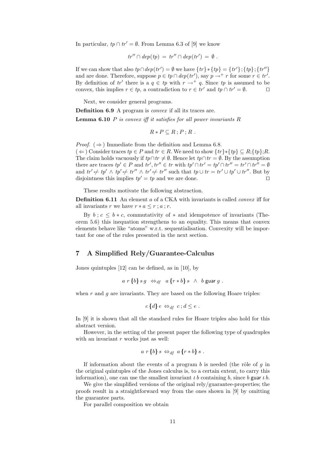In particular,  $tp \cap tr' = \emptyset$ . From Lemma 6.3 of [9] we know

$$
tr'' \cap dep(tp) = tr'' \cap dep(tr') = \emptyset.
$$

If we can show that also  $tp \cap dep(tr') = \emptyset$  we have  $\{tr\} * \{tp\} = \{tr'\}; \{tp\}; \{tr''\}$ and are done. Therefore, suppose  $p \in tp \cap dep(tr')$ , say  $p \to \dagger r$  for some  $r \in tr'$ . By definition of tr' there is a  $q \in tp$  with  $r \to^+ q$ . Since tp is assumed to be convex, this implies  $r \in tp$ , a contradiction to  $r \in tr'$  and  $tp \cap tr' = \emptyset$ .

Next, we consider general programs.

Definition 6.9 A program is *convex* if all its traces are.

**Lemma 6.10** P is convex iff it satisfies for all power invariants  $R$ 

$$
R * P \subseteq R ; P ; R .
$$

*Proof.* ( $\Rightarrow$ ) Immediate from the definition and Lemma 6.8.

(  $\Leftarrow$  ) Consider traces  $tp \in P$  and  $tr \in R$ . We need to show  $\{tr\} * \{tp\} \subseteq R$ ;  $\{tp\}$ ; R. The claim holds vacuously if  $tp \cap tr \neq \emptyset$ . Hence let  $tp \cap tr = \emptyset$ . By the assumption there are traces  $tp' \in P$  and  $tr', tr'' \in tr$  with  $tp' \cap tr' = tp' \cap tr'' = tr' \cap tr'' = \emptyset$ and  $tr' \nleftrightarrow tp' \wedge tp' \nleftrightarrow tr'' \wedge tr' \nleftrightarrow tr''$  such that  $tp \cup tr = tr' \cup tp' \cup tr''$ . But by disjointness this implies  $tp' = tp$  and we are done. □

These results motivate the following abstraction.

Definition 6.11 An element a of a CKA with invariants is called *convex* iff for all invariants r we have  $r * a \leq r : a : r$ .

By  $b : c \leq b * c$ , commutativity of  $*$  and idempotence of invariants (Theorem 5.6) this inequation strengthens to an equality. This means that convex elements behave like "atoms" w.r.t. sequentialisation. Convexity will be important for one of the rules presented in the next section.

## 7 A Simplified Rely/Guarantee-Calculus

Jones quintuples [12] can be defined, as in [10], by

 $a r \{b\} s q \Leftrightarrow_{d f} a \{r * b\} s \wedge b$  guar q.

when  $r$  and  $q$  are invariants. They are based on the following Hoare triples:

$$
c\,\{d\}\,e \Leftrightarrow_{df} c\,; d\leq e\ .
$$

In [9] it is shown that all the standard rules for Hoare triples also hold for this abstract version.

However, in the setting of the present paper the following type of quadruples with an invariant  $r$  works just as well:

$$
a\;r\; \{b\}\; s\; \Leftrightarrow_{df} \;a\; \{r*b\}\; s\;.
$$

If information about the events of a program b is needed (the rôle of q in the original quintuples of the Jones calculus is, to a certain extent, to carry this information), one can use the smallest invariant  $\iota b$  containing b, since b guar  $\iota b$ .

We give the simplified versions of the original rely/guarantee-properties; the proofs result in a straightforward way from the ones shown in [9] by omitting the guarantee parts.

For parallel composition we obtain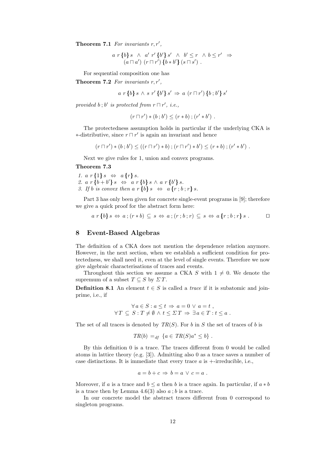**Theorem 7.1** For invariants  $r, r'$ ,

$$
a r \{b\} s \wedge a' r' \{b'\} s' \wedge b' \leq r \wedge b \leq r' \Rightarrow
$$
  

$$
(a \sqcap a') (r \sqcap r') \{b * b'\} (s \sqcap s') .
$$

For sequential composition one has

**Theorem 7.2** For invariants  $r, r'$ ,

$$
a \, r \, \{b\} \, s \wedge s \, r' \, \{b'\} \, s' \Rightarrow a \, (r \sqcap r') \, \{b \, ; b'\} \, s'
$$

provided b; b' is protected from  $r \sqcap r'$ , i.e.,

$$
(r \sqcap r') * (b ; b') \leq (r * b) ; (r' * b') .
$$

The protectedness assumption holds in particular if the underlying CKA is ∗-distributive, since r ⊓ r ′ is again an invariant and hence

 $(r \sqcap r') * (b ; b') \le ((r \sqcap r') * b) ; (r \sqcap r') * b') \le (r * b) ; (r' * b')$ .

Next we give rules for 1, union and convex programs.

Theorem 7.3

1.  $a r \{1\} s \Leftrightarrow a \{r\} s$ . 2.  $a r \{b+b'\} s \Leftrightarrow a r \{b\} s \wedge a r \{b'\} s.$ 3. If b is convex then a  $r\{b\} s \Leftrightarrow a\{r\,;b\,;r\} s$ .

Part 3 has only been given for concrete single-event programs in [9]; therefore we give a quick proof for the abstract form here:

$$
a \; r \; \{b\} \; s \; \Leftrightarrow \; a \; ; (r * b) \; \subseteq \; s \; \Leftrightarrow \; a \; ; (r \; ; b \; ; r) \; \subseteq \; s \; \Leftrightarrow \; a \; \{r \; ; b \; ; r\} \; s \; . \qquad \Box
$$

## 8 Event-Based Algebras

The definition of a CKA does not mention the dependence relation anymore. However, in the next section, when we establish a sufficient condition for protectedness, we shall need it, even at the level of single events. Therefore we now give algebraic characterisations of traces and events.

Throughout this section we assume a CKA S with  $1 \neq 0$ . We denote the supremum of a subset  $T \subseteq S$  by  $\Sigma T$ .

**Definition 8.1** An element  $t \in S$  is called a *trace* if it is subatomic and joinprime, i.e., if

$$
\forall a \in S : a \le t \Rightarrow a = 0 \lor a = t ,
$$
  

$$
\forall T \subseteq S : T \neq \emptyset \land t \leq \Sigma T \Rightarrow \exists a \in T : t \leq a .
$$

The set of all traces is denoted by  $TR(S)$ . For b in S the set of traces of b is

$$
TR(b) =_{df} \{a \in TR(S)a^* \le b\}.
$$

By this definition 0 is a trace. The traces different from 0 would be called atoms in lattice theory (e.g. [3]). Admitting also 0 as a trace saves a number of case distinctions. It is immediate that every trace  $a$  is  $+$ -irreducible, i.e.,

$$
a = b + c \Rightarrow b = a \lor c = a .
$$

Moreover, if a is a trace and  $b \le a$  then b is a trace again. In particular, if  $a * b$ is a trace then by Lemma  $4.6(3)$  also  $a:b$  is a trace.

In our concrete model the abstract traces different from 0 correspond to singleton programs.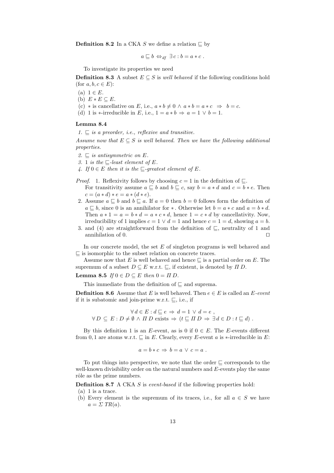**Definition 8.2** In a CKA S we define a relation  $\subseteq$  by

 $a \sqsubset b \Leftrightarrow_{df} \exists c : b = a * c$ .

To investigate its properties we need

**Definition 8.3** A subset  $E \subseteq S$  is well behaved if the following conditions hold (for  $a, b, c \in E$ ):

(a)  $1 \in E$ .

(b)  $E * E \subseteq E$ .

(c) \* is cancellative on E, i.e.,  $a * b \neq 0 \land a * b = a * c \Rightarrow b = c$ .

(d) 1 is \*-irreducible in E, i.e.,  $1 = a * b \Rightarrow a = 1 \vee b = 1$ .

## Lemma 8.4

1.  $□$  is a preorder, i.e., reflexive and transitive.

Assume now that  $E \subseteq S$  is well behaved. Then we have the following additional properties.

2.  $\Box$  is antisymmetric on E.

3. 1 is the  $\Box$ -least element of E.

4. If  $0 \in E$  then it is the  $\sqsubseteq$ -greatest element of E.

- *Proof.* 1. Reflexivity follows by choosing  $c = 1$  in the definition of  $\sqsubseteq$ . For transitivity assume  $a \sqsubseteq b$  and  $b \sqsubseteq c$ , say  $b = a * d$  and  $c = b * e$ . Then  $c = (a * d) * e = a * (d * e).$
- 2. Assume  $a \sqsubseteq b$  and  $b \sqsubseteq a$ . If  $a = 0$  then  $b = 0$  follows form the definition of  $a \sqsubset b$ , since 0 is an annihilator for  $\ast$ . Otherwise let  $b = a \ast c$  and  $a = b \ast d$ . Then  $a * 1 = a = b * d = a * c * d$ , hence  $1 = c * d$  by cancellativity. Now, irreducibility of 1 implies  $c = 1 \vee d = 1$  and hence  $c = 1 = d$ , showing  $a = b$ .
- 3. and (4) are straightforward from the definition of  $\subseteq$ , neutrality of 1 and annihilation of 0. □

In our concrete model, the set E of singleton programs is well behaved and ⊑ is isomorphic to the subset relation on concrete traces.

Assume now that E is well behaved and hence  $\subseteq$  is a partial order on E. The supremum of a subset  $D \subseteq E$  w.r.t.  $\subseteq$ , if existent, is denoted by  $\Pi D$ .

Lemma 8.5 If  $0 \in D \subseteq E$  then  $0 = \Pi D$ .

This immediate from the definition of  $\Box$  and suprema.

**Definition 8.6** Assume that E is well behaved. Then  $e \in E$  is called an E-event if it is subatomic and join-prime w.r.t.  $\sqsubseteq$ , i.e., if

$$
\forall d \in E : d \sqsubseteq e \Rightarrow d = 1 \lor d = e ,
$$
  

$$
\forall D \subseteq E : D \neq \emptyset \land \Pi D \text{ exists} \Rightarrow (t \sqsubseteq \Pi D \Rightarrow \exists d \in D : t \sqsubseteq d) .
$$

By this definition 1 is an E-event, as is 0 if  $0 \in E$ . The E-events different from 0, 1 are atoms w.r.t.  $\sqsubseteq$  in E. Clearly, every E-event a is \*-irreducible in E:

$$
a=b*c \, \Rightarrow \, b=a \, \vee \, c=a \ .
$$

To put things into perspective, we note that the order ⊑ corresponds to the well-known divisibility order on the natural numbers and  $E$ -events play the same rôle as the prime numbers.

Definition 8.7 A CKA S is event-based if the following properties hold:

- (a) 1 is a trace.
- (b) Every element is the supremum of its traces, i.e., for all  $a \in S$  we have  $a = \sum TR(a).$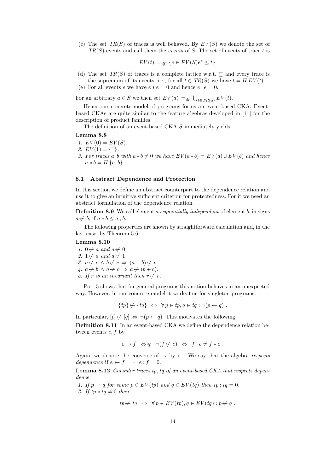(c) The set  $TR(S)$  of traces is well behaved. By  $EV(S)$  we denote the set of  $TR(S)$ -events and call them the *events* of S. The set of events of trace t is

$$
EV(t) =_{df} \{ e \in EV(S)e^* \le t \} .
$$

- (d) The set  $TR(S)$  of traces is a complete lattice w.r.t.  $\Box$  and every trace is the supremum of its events, i.e., for all  $t \in TR(S)$  we have  $t = \Pi EV(t)$ .
- (e) For all events e we have  $e * e = 0$  and hence  $e ; e = 0$ .

For an arbitrary  $a \in S$  we then set  $EV(a) =_{df} \bigcup_{t \in TR(a)} EV(t)$ .

Hence our concrete model of programs forms an event-based CKA. Eventbased CKAs are quite similar to the feature algebras developed in [11] for the description of product families.

The definition of an event-based CKA S immediately yields

#### Lemma 8.8

- 1.  $EV(0) = EV(S)$ .
- 2.  $EV(1) = \{1\}.$
- 3. For traces a, b with  $a * b \neq 0$  we have  $EV(a * b) = EV(a) \cup EV(b)$  and hence  $a * b = \Pi \{a, b\}.$

#### 8.1 Abstract Dependence and Protection

In this section we define an abstract counterpart to the dependence relation and use it to give an intuitive sufficient criterion for protectedness. For it we need an abstract formulation of the dependence relation.

**Definition 8.9** We call element a sequentially independent of element  $b$ , in signs  $a \not\leftarrow b$ , if  $a * b \leq a$ ; b.

The following properties are shown by straightforward calculation and, in the last case, by Theorem 5.6:

## Lemma 8.10

- 1.  $0 \neq a$  and  $a \neq 0$ .
- 2.  $1 \neq a$  and  $a \neq 1$ .
- 3.  $a \neq c \land b \neq c \Rightarrow (a+b) \neq c$ .
- 4.  $a \neq b \land a \neq c \Rightarrow a \neq (b+c)$ .
- 5. If r is an invariant then  $r \nleftrightarrow r$ .

Part 5 shows that for general programs this notion behaves in an unexpected way. However, in our concrete model it works fine for singleton programs:

$$
\{tp\} \nleftrightarrow \{tq\} \Leftrightarrow \forall p \in tp, q \in tq : \neg (p \leftarrow q) .
$$

In particular,  $[p] \not\leftarrow [q] \Leftrightarrow \neg(p \leftarrow q)$ . This motivates the following

Definition 8.11 In an event-based CKA we define the dependence relation between events  $e, f$  by

$$
e \to f \iff_{df} \neg(f \neq e) \iff f : e \neq f * e .
$$

Again, we denote the converse of  $\rightarrow$  by  $\leftarrow$ . We say that the algebra respects dependence if  $e \leftarrow f \Rightarrow e : f = 0$ .

Lemma 8.12 Consider traces tp, tq of an event-based CKA that respects dependence.

1. If  $p \rightarrow q$  for some  $p \in EV(tp)$  and  $q \in EV(tq)$  then  $tp$ ;  $tq = 0$ . 2. If  $tp * tq \neq 0$  then

$$
tp \nleftrightarrow tq \Leftrightarrow \forall p \in EV(tp), q \in EV(tq) : p \nleftrightarrow q.
$$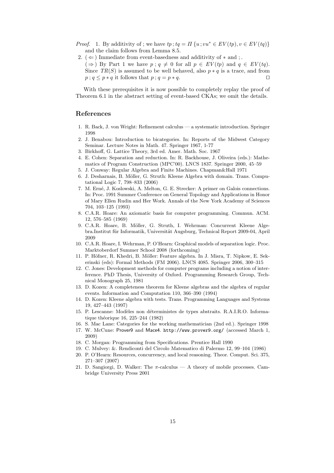- *Proof.* 1. By additivity of ; we have  $tp$ ;  $tq = \Pi \{u$ ;  $vu^* \in EV(tp), v \in EV(tq)\}\$ and the claim follows from Lemma 8.5.
- 2. ( $\Leftarrow$ ) Immediate from event-basedness and additivity of  $*$  and ;  $(\Rightarrow)$  By Part 1 we have  $p : q \neq 0$  for all  $p \in EV(tp)$  and  $q \in EV(tq)$ . Since  $TR(S)$  is assumed to be well behaved, also  $p * q$  is a trace, and from  $p: q \leq p * q$  it follows that  $p: q = p * q$ . □

With these prerequisites it is now possible to completely replay the proof of Theorem 6.1 in the abstract setting of event-based CKAs; we omit the details.

## References

- 1. R. Back, J. von Wright: Refinement calculus a systematic introduction. Springer 1998
- 2. J. Benabou: Introduction to bicategories. In: Reports of the Midwest Category Seminar. Lecture Notes in Math. 47. Springer 1967, 1-77
- 3. Birkhoff, G. Lattice Theory, 3rd ed. Amer. Math. Soc. 1967
- 4. E. Cohen: Separation and reduction. In: R. Backhouse, J. Oliveira (eds.): Mathematics of Program Construction (MPC'00). LNCS 1837. Springer 2000, 45–59
- 5. J. Conway: Regular Algebra and Finite Machines. Chapman&Hall 1971
- 6. J. Desharnais, B. Möller, G. Struth: Kleene Algebra with domain. Trans. Computational Logic 7, 798–833 (2006)
- 7. M. Ern´e, J. Koslowski, A. Melton, G. E. Strecker: A primer on Galois connections. In: Proc. 1991 Summer Conference on General Topology and Applications in Honor of Mary Ellen Rudin and Her Work. Annals of the New York Academy of Sciences 704, 103–125 (1993)
- 8. C.A.R. Hoare: An axiomatic basis for computer programming. Commun. ACM. 12, 576–585 (1969)
- 9. C.A.R. Hoare, B. Möller, G. Struth, I. Wehrman: Concurrent Kleene Algebra.Institut für Informatik, Universität Augsburg, Technical Report 2009-04, April 2009
- 10. C.A.R. Hoare, I. Wehrman, P. O'Hearn: Graphical models of separation logic. Proc. Marktoberdorf Summer School 2008 (forthcoming)
- 11. P. Höfner, R. Khedri, B. Möller: Feature algebra. In J. Misra, T. Nipkow, E. Sekerinski (eds): Formal Methods (FM 2006). LNCS 4085. Springer 2006, 300–315
- 12. C. Jones: Development methods for computer programs including a notion of interference. PhD Thesis, University of Oxford. Programming Research Group, Technical Monograph 25, 1981
- 13. D. Kozen: A completeness theorem for Kleene algebras and the algebra of regular events. Information and Computation 110, 366–390 (1994)
- 14. D. Kozen: Kleene algebra with tests. Trans. Programming Languages and Systems 19, 427–443 (1997)
- 15. P. Lescanne: Modèles non déterministes de types abstraits. R.A.I.R.O. Informatique théorique 16, 225–244 (1982)
- 16. S. Mac Lane: Categories for the working mathematician (2nd ed.). Springer 1998
- 17. W. McCune: Prover9 and Mace4. http://www.prover9.org/ (accessed March 1, 2009)
- 18. C. Morgan: Programming from Specifications. Prentice Hall 1990
- 19. C. Mulvey: &. Rendiconti del Circolo Matematico di Palermo 12, 99–104 (1986)
- 20. P. O'Hearn: Resources, concurrency, and local reasoning. Theor. Comput. Sci. 375, 271–307 (2007)
- 21. D. Sangiorgi, D. Walker: The  $\pi$ -calculus A theory of mobile processes. Cambridge University Press 2001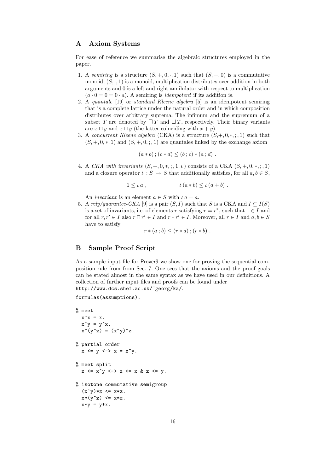## A Axiom Systems

For ease of reference we summarise the algebraic structures employed in the paper.

- 1. A semiring is a structure  $(S, +, 0, \cdot, 1)$  such that  $(S, +, 0)$  is a commutative monoid,  $(S, \cdot, 1)$  is a monoid, multiplication distributes over addition in both arguments and 0 is a left and right annihilator with respect to multiplication  $(a \cdot 0 = 0 = 0 \cdot a)$ . A semiring is *idempotent* if its addition is.
- 2. A quantale [19] or standard Kleene algebra [5] is an idempotent semiring that is a complete lattice under the natural order and in which composition distributes over arbitrary suprema. The infimum and the supremum of a subset T are denoted by  $\Box T$  and  $\Box T$ , respectively. Their binary variants are  $x \sqcap y$  and  $x \sqcup y$  (the latter coinciding with  $x + y$ ).
- 3. A concurrent Kleene algebra (CKA) is a structure  $(S,+,0,*,;1)$  such that  $(S, +, 0, *, 1)$  and  $(S, +, 0, ;, 1)$  are quantales linked by the exchange axiom

$$
(a * b) ; (c * d) \leq (b ; c) * (a ; d) .
$$

4. A CKA with invariants  $(S, +, 0, *, ; 1, t)$  consists of a CKA  $(S, +, 0, *, ; 1)$ and a closure operator  $\iota : S \to S$  that additionally satisfies, for all  $a, b \in S$ ,

$$
1 \leq \iota a , \qquad \qquad \iota (a * b) \leq \iota (a + b) .
$$

An *invariant* is an element  $a \in S$  with  $\iota a = a$ .

5. A rely/guarantee-CKA [9] is a pair  $(S, I)$  such that S is a CKA and  $I \subseteq I(S)$ is a set of invariants, i.e. of elements r satisfying  $r = r^*$ , such that  $1 \in I$  and for all  $r, r' \in I$  also  $r \sqcap r' \in I$  and  $r * r' \in I$ . Moreover, all  $r \in I$  and  $a, b \in S$ have to satisfy

$$
r * (a ; b) \leq (r * a) ; (r * b)
$$
.

## B Sample Proof Script

As a sample input file for Prover9 we show one for proving the sequential composition rule from from Sec. 7. One sees that the axioms and the proof goals can be stated almost in the same syntax as we have used in our definitions. A collection of further input files and proofs can be found under http://www.dcs.shef.ac.uk/~georg/ka/.

formulas(assumptions).

```
% meet
  x^x = x.
  x^y = y^x.
  x^{\hat{ }}(y^z) = (x^y)^z.% partial order
  x \leq y \leq x x = x^y.
% meet split
  z \leq x \hat{y} \iff z \leq x \& z \leq y.% isotone commutative semigroup
  (x^y)*z \leq x*z.
  x*(y^z) \leq x*z.
  x*y = y*x.
```